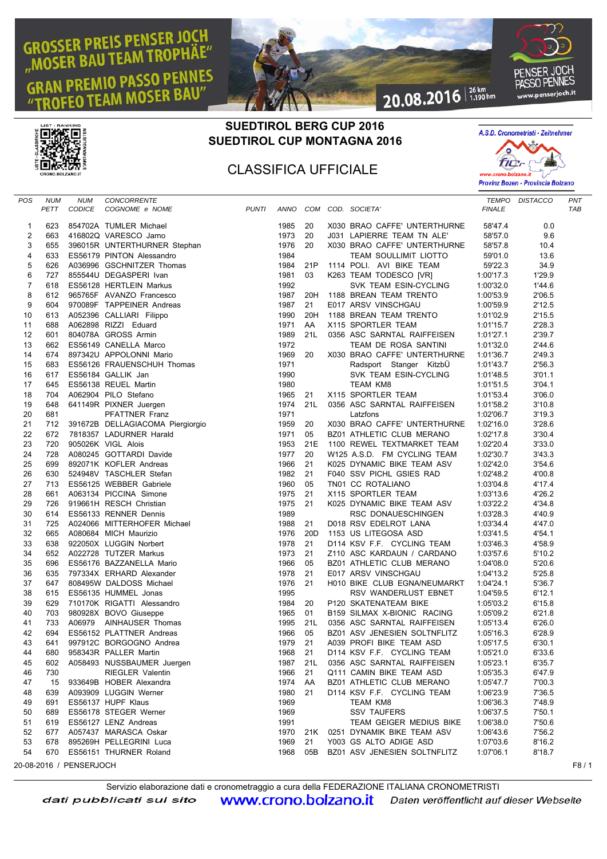## **GROSSER PREIS PENSER JOCH BAU TEAM TROPHAE" PREMIO PASSO PENNES M MOSER BAU'** Gł





20.08.2016 36km



| <b>POS</b>     | <b>NUM</b> | <b>NUM</b>              | CONCORRENTE                                               |       |              |                 |                                                       |                    | TEMPO DISTACCO | PNT        |
|----------------|------------|-------------------------|-----------------------------------------------------------|-------|--------------|-----------------|-------------------------------------------------------|--------------------|----------------|------------|
|                | PETT       | CODICE                  | COGNOME e NOME                                            | PUNTI |              |                 | ANNO COM COD. SOCIETA'                                | <b>FINALE</b>      |                | <b>TAB</b> |
|                |            |                         |                                                           |       |              |                 |                                                       |                    |                |            |
| $\mathbf 1$    | 623        |                         | 854702A TUMLER Michael                                    |       | 1985         | 20<br>20        | X030 BRAO CAFFE' UNTERTHURNE                          | 58'47.4            | 0.0            |            |
| 2<br>3         | 663<br>655 |                         | 416802Q VARESCO Jarno                                     |       | 1973<br>1976 | 20              | J031 LAPIERRE TEAM TN ALE'                            | 58'57.0<br>58'57.8 | 9.6<br>10.4    |            |
| 4              | 633        |                         | 396015R UNTERTHURNER Stephan<br>ES56179 PINTON Alessandro |       | 1984         |                 | X030 BRAO CAFFE' UNTERTHURNE<br>TEAM SOULLIMIT LIOTTO | 59'01.0            | 13.6           |            |
| 5              | 626        |                         | A036996 GSCHNITZER Thomas                                 |       | 1984         | 21P             | 1114 POLI. AVI BIKE TEAM                              | 59'22.3            | 34.9           |            |
| 6              | 727        |                         | 855544U DEGASPERI Ivan                                    |       | 1981         | 03              | K263 TEAM TODESCO [VR]                                | 1:00'17.3          | 1'29.9         |            |
| $\overline{7}$ | 618        |                         | ES56128 HERTLEIN Markus                                   |       | 1992         |                 | SVK TEAM ESIN-CYCLING                                 | 1:00'32.0          | 1'44.6         |            |
| 8              | 612        |                         | 965765F AVANZO Francesco                                  |       | 1987         | 20H             | 1188 BREAN TEAM TRENTO                                | 1:00'53.9          | 2'06.5         |            |
| 9              | 604        |                         | 970089F TAPPEINER Andreas                                 |       | 1987         | 21              | E017 ARSV VINSCHGAU                                   | 1:00'59.9          | 2'12.5         |            |
| 10             | 613        |                         | A052396 CALLIARI Filippo                                  |       | 1990         | 20H             | 1188 BREAN TEAM TRENTO                                | 1:01'02.9          | 2'15.5         |            |
| 11             | 688        |                         | A062898 RIZZI Eduard                                      |       | 1971         | AA              | X115 SPORTLER TEAM                                    | 1:01'15.7          | 2'28.3         |            |
| 12             | 601        |                         | 804078A GROSS Armin                                       |       | 1989         | 21L             | 0356 ASC SARNTAL RAIFFEISEN                           | 1:01'27.1          | 2'39.7         |            |
| 13             | 662        |                         | ES56149 CANELLA Marco                                     |       | 1972         |                 | TEAM DE ROSA SANTINI                                  | 1:01'32.0          | 2'44.6         |            |
| 14             | 674        |                         | 897342U APPOLONNI Mario                                   |       | 1969         | 20              | X030 BRAO CAFFE' UNTERTHURNE                          | 1:01'36.7          | 2'49.3         |            |
| 15             | 683        |                         | ES56126 FRAUENSCHUH Thomas                                |       | 1971         |                 | Radsport Stanger KitzbÜ                               | 1:01'43.7          | 2'56.3         |            |
| 16             | 617        |                         | ES56184 GALLIK Jan                                        |       | 1990         |                 | SVK TEAM ESIN-CYCLING                                 | 1:01'48.5          | 3'01.1         |            |
| 17             | 645        |                         | ES56138 REUEL Martin                                      |       | 1980         |                 | TEAM KM8                                              | 1:01'51.5          | 3'04.1         |            |
| 18             | 704        |                         | A062904 PILO Stefano                                      |       | 1965         | 21              | X115 SPORTLER TEAM                                    | 1:01'53.4          | 3'06.0         |            |
| 19             | 648        |                         | 641149R PIXNER Juergen                                    |       | 1974         | 21L             | 0356 ASC SARNTAL RAIFFEISEN                           | 1:01'58.2          | 3'10.8         |            |
| 20             | 681        |                         | PFATTNER Franz                                            |       | 1971         |                 | Latzfons                                              | 1:02'06.7          | 3'19.3         |            |
| 21             | 712        |                         | 391672B DELLAGIACOMA Piergiorgio                          |       | 1959         | 20              | X030 BRAO CAFFE' UNTERTHURNE                          | 1:02'16.0          | 3'28.6         |            |
| 22             | 672        |                         | 7818357 LADURNER Harald                                   |       | 1971         | 05              | BZ01 ATHLETIC CLUB MERANO                             | 1:02'17.8          | 3'30.4         |            |
| 23             | 720        |                         | 905026K VIGL Alois                                        |       | 1953         | 21E             | 1100 REWEL TEXTMARKET TEAM                            | 1:02'20.4          | 3'33.0         |            |
| 24             | 728        |                         | A080245 GOTTARDI Davide                                   |       | 1977         | 20              | W125 A.S.D. FM CYCLING TEAM                           | 1:02'30.7          | 3'43.3         |            |
| 25             | 699        |                         | 892071K KOFLER Andreas                                    |       | 1966         | 21              | K025 DYNAMIC BIKE TEAM ASV                            | 1:02'42.0          | 3'54.6         |            |
| 26             | 630        |                         | 524948V TASCHLER Stefan                                   |       | 1982         | 21              | F040 SSV PICHL GSIES RAD                              | 1:02'48.2          | 4'00.8         |            |
| 27             | 713        |                         | ES56125 WEBBER Gabriele                                   |       | 1960         | 05              | TN01 CC ROTALIANO                                     | 1:03'04.8          | 4'17.4         |            |
| 28             | 661        |                         | A063134 PICCINA Simone                                    |       | 1975         | 21              | X115 SPORTLER TEAM                                    | 1:03'13.6          | 4'26.2         |            |
| 29             | 726        |                         | 919661H RESCH Christian                                   |       | 1975         | 21              | K025 DYNAMIC BIKE TEAM ASV                            | 1:03'22.2          | 4'34.8         |            |
| 30             | 614        |                         | ES56133 RENNER Dennis                                     |       | 1989         |                 | RSC DONAUESCHINGEN                                    | 1:03'28.3          | 4'40.9         |            |
| 31             | 725        |                         | A024066 MITTERHOFER Michael                               |       | 1988         | 21              | D018 RSV EDELROT LANA                                 | 1:03'34.4          | 4'47.0         |            |
| 32             | 665        |                         | A080684 MICH Maurizio                                     |       | 1976         | 20 <sub>D</sub> | 1153 US LITEGOSA ASD                                  | 1:03'41.5          | 4'54.1         |            |
| 33             | 638        |                         | 922050X LUGGIN Norbert                                    |       | 1978         | 21              | D114 KSV F.F. CYCLING TEAM                            | 1:03'46.3          | 4'58.9         |            |
| 34             | 652        |                         | A022728 TUTZER Markus                                     |       | 1973         | 21              | Z110 ASC KARDAUN / CARDANO                            | 1:03'57.6          | 5'10.2         |            |
| 35             | 696        |                         | ES56176 BAZZANELLA Mario                                  |       | 1966         | 05              | BZ01 ATHLETIC CLUB MERANO                             | 1:04'08.0          | 5'20.6         |            |
| 36             | 635        |                         | 797334X ERHARD Alexander                                  |       | 1978         | 21              | E017 ARSV VINSCHGAU                                   | 1:04'13.2          | 5'25.8         |            |
| 37             | 647        |                         | 808495W DALDOSS Michael                                   |       | 1976         | 21              | H010 BIKE CLUB EGNA/NEUMARKT                          | 1:04'24.1          | 5'36.7         |            |
| 38             | 615        |                         | ES56135 HUMMEL Jonas                                      |       | 1995         |                 | RSV WANDERLUST EBNET                                  | 1:04'59.5          | 6'12.1         |            |
| 39             | 629        |                         | 710170K RIGATTI Alessandro                                |       | 1984         | 20              | P120 SKATENATEAM BIKE                                 | 1:05'03.2          | 6'15.8         |            |
| 40             | 703        |                         | 980928X BOVO Giuseppe                                     |       | 1965         | 01              | B159 SILMAX X-BIONIC RACING                           | 1:05'09.2          | 6'21.8         |            |
| 41             | 733        |                         | A06979 AINHAUSER Thomas                                   |       | 1995         | 21L             | 0356 ASC SARNTAL RAIFFEISEN                           | 1:05'13.4          | 6'26.0         |            |
| 42             | 694        |                         | ES56152 PLATTNER Andreas                                  |       | 1966         | 05              | BZ01 ASV JENESIEN SOLTNFLITZ                          | 1:05'16.3          | 6'28.9         |            |
| 43             | 641        |                         | 997912C BORGOGNO Andrea                                   |       | 1979         | 21              | A039 PROFI BIKE TEAM ASD                              | 1:05'17.5          | 6'30.1         |            |
| 44             |            |                         | 680 958343R PALLER Martin                                 |       | 1968 21      |                 | D114 KSV F.F. CYCLING TEAM                            | 1:05'21.0          | 6'33.6         |            |
| 45             | 602        |                         | A058493 NUSSBAUMER Juergen                                |       | 1987 21L     |                 | 0356 ASC SARNTAL RAIFFEISEN                           | 1:05'23.1          | 6'35.7         |            |
| 46             | 730        |                         | <b>RIEGLER Valentin</b>                                   |       | 1966         | -21             | Q111 CAMIN BIKE TEAM ASD                              | 1:05'35.3          | 6'47.9         |            |
| 47             |            |                         | 15 933649B HOBER Alexandra                                |       | 1974 AA      |                 | BZ01 ATHLETIC CLUB MERANO                             | 1:05'47.7          | 7'00.3         |            |
| 48             | 639        |                         | A093909 LUGGIN Werner                                     |       | 1980 21      |                 | D114 KSV F.F. CYCLING TEAM                            | 1:06'23.9          | 7'36.5         |            |
| 49             | 691        |                         | ES56137 HUPF Klaus                                        |       | 1969         |                 | TEAM KM8                                              | 1:06'36.3          | 7'48.9         |            |
| 50             | 689        |                         | ES56178 STEGER Werner                                     |       | 1969         |                 | <b>SSV TAUFERS</b>                                    | 1:06'37.5          | 7'50.1         |            |
| 51             | 619        |                         | ES56127 LENZ Andreas                                      |       | 1991         |                 | TEAM GEIGER MEDIUS BIKE                               | 1:06'38.0          | 7'50.6         |            |
| 52             |            |                         | 677 A057437 MARASCA Oskar                                 |       |              | 1970 21K        | 0251 DYNAMIK BIKE TEAM ASV                            | 1:06'43.6          | 7'56.2         |            |
| 53             | 678        |                         | 895269H PELLEGRINI Luca                                   |       | 1969         | 21              | Y003 GS ALTO ADIGE ASD                                | 1:07'03.6          | 8'16.2         |            |
| 54             | 670        |                         | ES56151 THURNER Roland                                    |       | 1968         | 05B             | BZ01 ASV JENESIEN SOLTNFLITZ                          | 1:07'06.1          | 8'18.7         |            |
|                |            | 20-08-2016 / PENSERJOCH |                                                           |       |              |                 |                                                       |                    |                | F8/1       |

Servizio elaborazione dati e cronometraggio a cura della FEDERAZIONE ITALIANA CRONOMETRISTIdati pubblicati sul sito **WWW.Crono.bolzano.it** Daten veröffentlicht auf dieser Webseite

## inch.it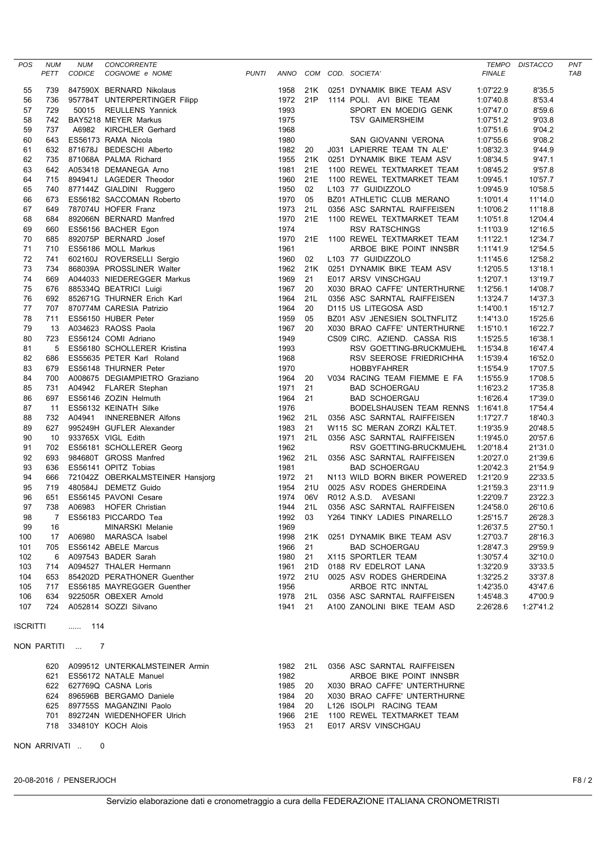|                  |                    |                             | <b>CONCORRENTE</b>                 |              |          |     |  |                                   |               | TEMPO DISTACCO |                   |
|------------------|--------------------|-----------------------------|------------------------------------|--------------|----------|-----|--|-----------------------------------|---------------|----------------|-------------------|
| POS              | <b>NUM</b><br>PETT | <b>NUM</b><br><b>CODICE</b> | COGNOME e NOME                     | <b>PUNTI</b> | ANNO     |     |  | COM COD. SOCIETA'                 | <b>FINALE</b> |                | PNT<br><b>TAB</b> |
|                  |                    |                             |                                    |              |          |     |  |                                   |               |                |                   |
| 55               | 739                |                             | 847590X BERNARD Nikolaus           |              | 1958     | 21K |  | 0251 DYNAMIK BIKE TEAM ASV        | 1:07'22.9     | 8'35.5         |                   |
| 56               | 736                |                             | 957784T UNTERPERTINGER Filipp      |              | 1972     | 21P |  | 1114 POLI. AVI BIKE TEAM          | 1:07'40.8     | 8'53.4         |                   |
| 57               | 729                |                             | 50015 REULLENS Yannick             |              | 1993     |     |  | SPORT EN MOEDIG GENK              | 1:07'47.0     | 8'59.6         |                   |
| 58               | 742                |                             | BAY5218 MEYER Markus               |              | 1975     |     |  | <b>TSV GAIMERSHEIM</b>            | 1:07'51.2     | 9'03.8         |                   |
| 59               | 737                | A6982                       | <b>KIRCHLER Gerhard</b>            |              | 1968     |     |  |                                   | 1:07'51.6     | 9'04.2         |                   |
| 60               | 643                |                             | ES56173 RAMA Nicola                |              | 1980     |     |  | SAN GIOVANNI VERONA               | 1:07'55.6     | 9'08.2         |                   |
| 61               | 632                |                             | 871678J BEDESCHI Alberto           |              | 1982     | 20  |  | J031 LAPIERRE TEAM TN ALE'        | 1:08'32.3     | 9'44.9         |                   |
| 62               | 735                |                             | 871068A PALMA Richard              |              | 1955     | 21K |  | 0251 DYNAMIK BIKE TEAM ASV        | 1:08'34.5     | 9'47.1         |                   |
| 63               | 642                |                             | A053418 DEMANEGA Arno              |              | 1981     | 21E |  | 1100 REWEL TEXTMARKET TEAM        | 1:08'45.2     | 9'57.8         |                   |
| 64               | 715                |                             | 894941J LAGEDER Theodor            |              | 1960     | 21E |  | 1100 REWEL TEXTMARKET TEAM        | 1:09'45.1     | 10'57.7        |                   |
| 65               | 740                |                             | 877144Z GIALDINI Ruggero           |              | 1950     | 02  |  | L103 77 GUIDIZZOLO                | 1:09'45.9     | 10'58.5        |                   |
| 66               | 673                |                             | ES56182 SACCOMAN Roberto           |              | 1970     | 05  |  | BZ01 ATHLETIC CLUB MERANO         | 1:10'01.4     | 11'14.0        |                   |
| 67               | 649                |                             | 787074U HOFER Franz                |              | 1973     | 21L |  | 0356 ASC SARNTAL RAIFFEISEN       | 1:10'06.2     | 11'18.8        |                   |
| 68               | 684                |                             | 892066N BERNARD Manfred            |              | 1970     | 21E |  | 1100 REWEL TEXTMARKET TEAM        | 1:10'51.8     | 12'04.4        |                   |
| 69               | 660                |                             | ES56156 BACHER Egon                |              | 1974     |     |  | <b>RSV RATSCHINGS</b>             | 1:11'03.9     | 12'16.5        |                   |
| 70               | 685                |                             | 892075P BERNARD Josef              |              | 1970     | 21E |  | 1100 REWEL TEXTMARKET TEAM        | 1:11'22.1     | 12'34.7        |                   |
| 71               | 710                |                             | ES56186 MOLL Markus                |              | 1961     |     |  | ARBOE BIKE POINT INNSBR           | 1:11'41.9     | 12'54.5        |                   |
| 72               | 741                |                             | 602160J ROVERSELLI Sergio          |              | 1960     | 02  |  | L103 77 GUIDIZZOLO                | 1:11'45.6     | 12'58.2        |                   |
| 73               | 734                |                             | 868039A PROSSLINER Walter          |              | 1962     | 21K |  | 0251 DYNAMIK BIKE TEAM ASV        | 1:12'05.5     | 13'18.1        |                   |
| 74               | 669                |                             | A044033 NIEDEREGGER Markus         |              | 1969     | 21  |  | E017 ARSV VINSCHGAU               | 1:12'07.1     | 13'19.7        |                   |
| 75               | 676                |                             | 885334Q BEATRICI Luigi             |              | 1967     | 20  |  | X030 BRAO CAFFE' UNTERTHURNE      | 1:12'56.1     | 14'08.7        |                   |
| 76               | 692                |                             | 852671G THURNER Erich Karl         |              | 1964     | 21L |  | 0356 ASC SARNTAL RAIFFEISEN       | 1:13'24.7     | 14'37.3        |                   |
| 77               | 707                |                             | 870774M CARESIA Patrizio           |              | 1964     | 20  |  | D115 US LITEGOSA ASD              | 1:14'00.1     | 15'12.7        |                   |
| 78               | 711                |                             | ES56150 HUBER Peter                |              | 1959     | 05  |  | BZ01 ASV JENESIEN SOLTNFLITZ      | 1:14'13.0     | 15'25.6        |                   |
| 79               | 13                 |                             | A034623 RAOSS Paola                |              | 1967     | 20  |  | X030 BRAO CAFFE' UNTERTHURNE      | 1:15'10.1     | 16'22.7        |                   |
| 80               | 723                |                             | ES56124 COMI Adriano               |              | 1949     |     |  | CS09 CIRC. AZIEND. CASSA RIS      | 1:15'25.5     | 16'38.1        |                   |
| 81               | 5                  |                             | ES56180 SCHOLLERER Kristina        |              | 1993     |     |  | RSV GOETTING-BRUCKMUEHL           | 1:15'34.8     | 16'47.4        |                   |
| 82               | 686                |                             | ES55635 PETER Karl Roland          |              | 1968     |     |  | RSV SEEROSE FRIEDRICHHA           | 1:15'39.4     | 16'52.0        |                   |
| 83               | 679                |                             | ES56148 THURNER Peter              |              | 1970     |     |  | <b>HOBBYFAHRER</b>                | 1:15'54.9     | 17'07.5        |                   |
| 84               | 700                |                             | A008675 DEGIAMPIETRO Graziano      |              | 1964     | 20  |  | V034 RACING TEAM FIEMME E FA      | 1:15'55.9     | 17'08.5        |                   |
| 85               | 731                |                             | A04942 FLARER Stephan              |              | 1971     | 21  |  | <b>BAD SCHOERGAU</b>              | 1:16'23.2     | 17'35.8        |                   |
| 86               | 697                |                             | ES56146 ZOZIN Helmuth              |              | 1964     | 21  |  | <b>BAD SCHOERGAU</b>              | 1:16'26.4     | 17'39.0        |                   |
| 87               | -11                |                             | ES56132 KEINATH Silke              |              | 1976     |     |  | BODELSHAUSEN TEAM RENNS 1:16'41.8 |               | 17'54.4        |                   |
| 88               | 732                |                             | A04941 INNEREBNER Alfons           |              | 1962     | 21L |  | 0356 ASC SARNTAL RAIFFEISEN       | 1:17'27.7     | 18'40.3        |                   |
| 89               | 627                |                             | 995249H GUFLER Alexander           |              | 1983     | 21  |  | W115 SC MERAN ZORZI KÄLTET.       | 1:19'35.9     | 20'48.5        |                   |
| 90               | 10                 |                             | 933765X VIGL Edith                 |              | 1971     | 21L |  | 0356 ASC SARNTAL RAIFFEISEN       | 1:19'45.0     | 20'57.6        |                   |
| 91               | 702                |                             | ES56181 SCHOLLERER Georg           |              | 1962     |     |  | RSV GOETTING-BRUCKMUEHL           | 1:20'18.4     | 21'31.0        |                   |
| 92               | 693                |                             | 984680T GROSS Manfred              |              | 1962     | 21L |  | 0356 ASC SARNTAL RAIFFEISEN       | 1:20'27.0     | 21'39.6        |                   |
| 93               | 636                |                             | ES56141 OPITZ Tobias               |              | 1981     |     |  | <b>BAD SCHOERGAU</b>              | 1:20'42.3     | 21'54.9        |                   |
| 94               | 666                |                             | 721042Z OBERKALMSTEINER Hansjorg   |              | 1972     | 21  |  | N113 WILD BORN BIKER POWERED      | 1:21'20.9     | 22'33.5        |                   |
|                  |                    |                             |                                    |              |          |     |  |                                   |               |                |                   |
| 95               | 719                |                             | 480584J DEMETZ Guido               |              | 1954     | 21U |  | 0025 ASV RODES GHERDEINA          | 1:21'59.3     | 23'11.9        |                   |
| 96               | 651                |                             | ES56145 PAVONI Cesare              |              | 1974     | 06V |  | R012 A.S.D. AVESANI               | 1:22'09.7     | 23'22.3        |                   |
| 97               | 738                | A06983                      | <b>HOFER Christian</b>             |              | 1944     | 21L |  | 0356 ASC SARNTAL RAIFFEISEN       | 1:24'58.0     | 26'10.6        |                   |
| 98               | 7                  |                             | ES56183 PICCARDO Tea               |              | 1992     | 03  |  | Y264 TINKY LADIES PINARELLO       | 1:25'15.7     | 26'28.3        |                   |
| 99               | 16                 |                             | MINARSKI Melanie                   |              | 1969     |     |  |                                   | 1:26'37.5     | 27'50.1        |                   |
| 100              | 17                 |                             | A06980 MARASCA Isabel              |              | 1998     | 21K |  | 0251 DYNAMIK BIKE TEAM ASV        | 1:27'03.7     | 28'16.3        |                   |
| 101              | 705                |                             | ES56142 ABELE Marcus               |              | 1966     | 21  |  | <b>BAD SCHOERGAU</b>              | 1:28'47.3     | 29'59.9        |                   |
| 102              | 6                  |                             | A097543 BADER Sarah                |              | 1980     | 21  |  | X115 SPORTLER TEAM                | 1:30'57.4     | 32'10.0        |                   |
| 103              |                    |                             | 714 A094527 THALER Hermann         |              | 1961     | 21D |  | 0188 RV EDELROT LANA              | 1:32'20.9     | 33'33.5        |                   |
| 104              | 653                |                             | 854202D PERATHONER Guenther        |              | 1972     | 21U |  | 0025 ASV RODES GHERDEINA          | 1:32'25.2     | 33'37.8        |                   |
| 105              |                    |                             | 717 ES56185 MAYREGGER Guenther     |              | 1956     |     |  | ARBOE RTC INNTAL                  | 1:42'35.0     | 43'47.6        |                   |
| 106              | 634                |                             | 922505R OBEXER Arnold              |              | 1978 21L |     |  | 0356 ASC SARNTAL RAIFFEISEN       | 1:45'48.3     | 47'00.9        |                   |
| 107              | 724                |                             | A052814 SOZZI Silvano              |              | 1941     | -21 |  | A100 ZANOLINI BIKE TEAM ASD       | 2:26'28.6     | 1:27'41.2      |                   |
| ISCRITTI         |                    | - 114<br>.                  |                                    |              |          |     |  |                                   |               |                |                   |
| NON PARTITI<br>7 |                    |                             |                                    |              |          |     |  |                                   |               |                |                   |
|                  |                    |                             | 620 A099512 UNTERKALMSTEINER Armin |              | 1982 21L |     |  | 0356 ASC SARNTAL RAIFFEISEN       |               |                |                   |
|                  | 621                |                             | ES56172 NATALE Manuel              |              | 1982     |     |  | ARBOE BIKE POINT INNSBR           |               |                |                   |
|                  | 622                |                             | 627769Q CASNA Loris                |              | 1985     | 20  |  | X030 BRAO CAFFE' UNTERTHURNE      |               |                |                   |
|                  | 624                |                             | 896596B BERGAMO Daniele            |              | 1984     | 20  |  | X030 BRAO CAFFE' UNTERTHURNE      |               |                |                   |
|                  | 625                |                             | 897755S MAGANZINI Paolo            |              | 1984     | 20  |  | L126 ISOLPI RACING TEAM           |               |                |                   |
|                  | 701                |                             | 892724N WIEDENHOFER Ulrich         |              | 1966     | 21E |  | 1100 REWEL TEXTMARKET TEAM        |               |                |                   |
|                  |                    |                             |                                    |              |          |     |  |                                   |               |                |                   |

718 334810Y KOCH Alois 1953 21 E017 ARSV VINSCHGAU

NON ARRIVATI .. 0

20-08-2016 / PENSERJOCH F8 / 2